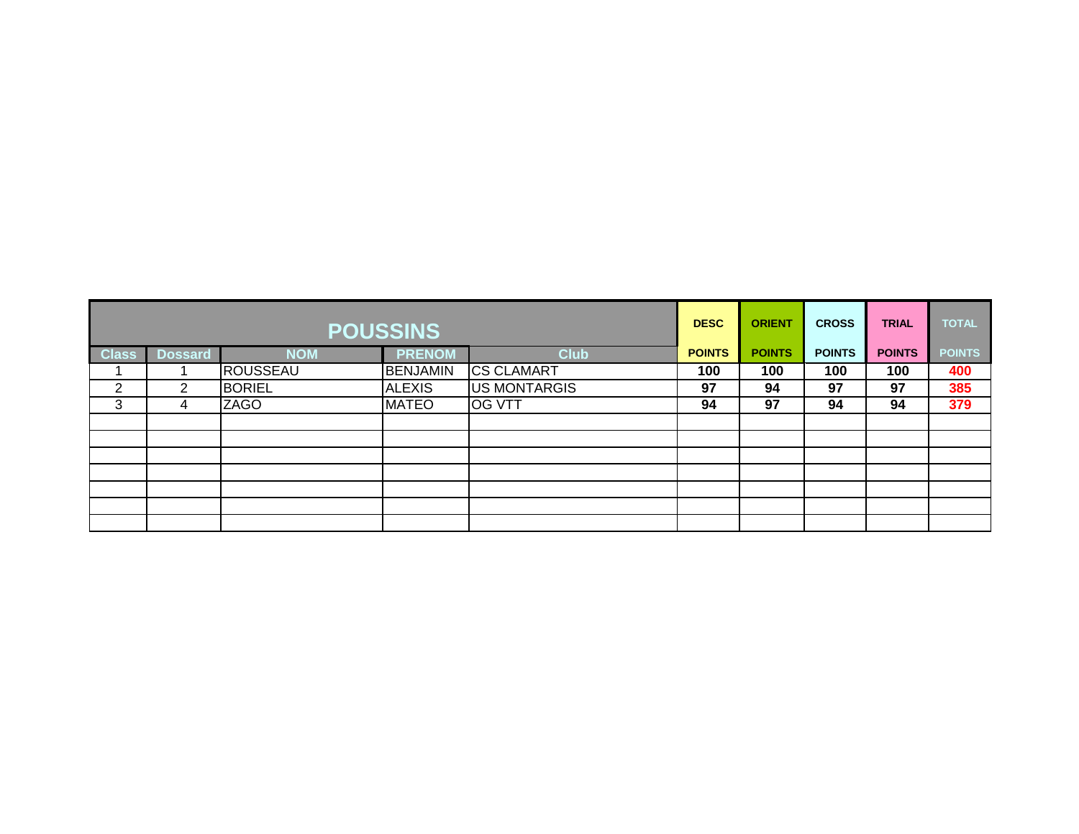| <b>POUSSINS</b> |                |               |                 |                     |               | <b>ORIENT</b> | <b>CROSS</b>  | <b>TRIAL</b>  | <b>TOTAL</b>  |
|-----------------|----------------|---------------|-----------------|---------------------|---------------|---------------|---------------|---------------|---------------|
| <b>Class</b>    | <b>Dossard</b> | <b>NOM</b>    | <b>PRENOM</b>   | <b>Club</b>         | <b>POINTS</b> | <b>POINTS</b> | <b>POINTS</b> | <b>POINTS</b> | <b>POINTS</b> |
|                 |                | ROUSSEAU      | <b>BENJAMIN</b> | <b>CS CLAMART</b>   | 100           | 100           | 100           | 100           | 400           |
| ົ<br>∠          | っ              | <b>BORIEL</b> | <b>ALEXIS</b>   | <b>US MONTARGIS</b> | 97            | 94            | 97            | 97            | 385           |
| 3               | 4              | <b>ZAGO</b>   | <b>MATEO</b>    | <b>OG VTT</b>       | 94            | 97            | 94            | 94            | 379           |
|                 |                |               |                 |                     |               |               |               |               |               |
|                 |                |               |                 |                     |               |               |               |               |               |
|                 |                |               |                 |                     |               |               |               |               |               |
|                 |                |               |                 |                     |               |               |               |               |               |
|                 |                |               |                 |                     |               |               |               |               |               |
|                 |                |               |                 |                     |               |               |               |               |               |
|                 |                |               |                 |                     |               |               |               |               |               |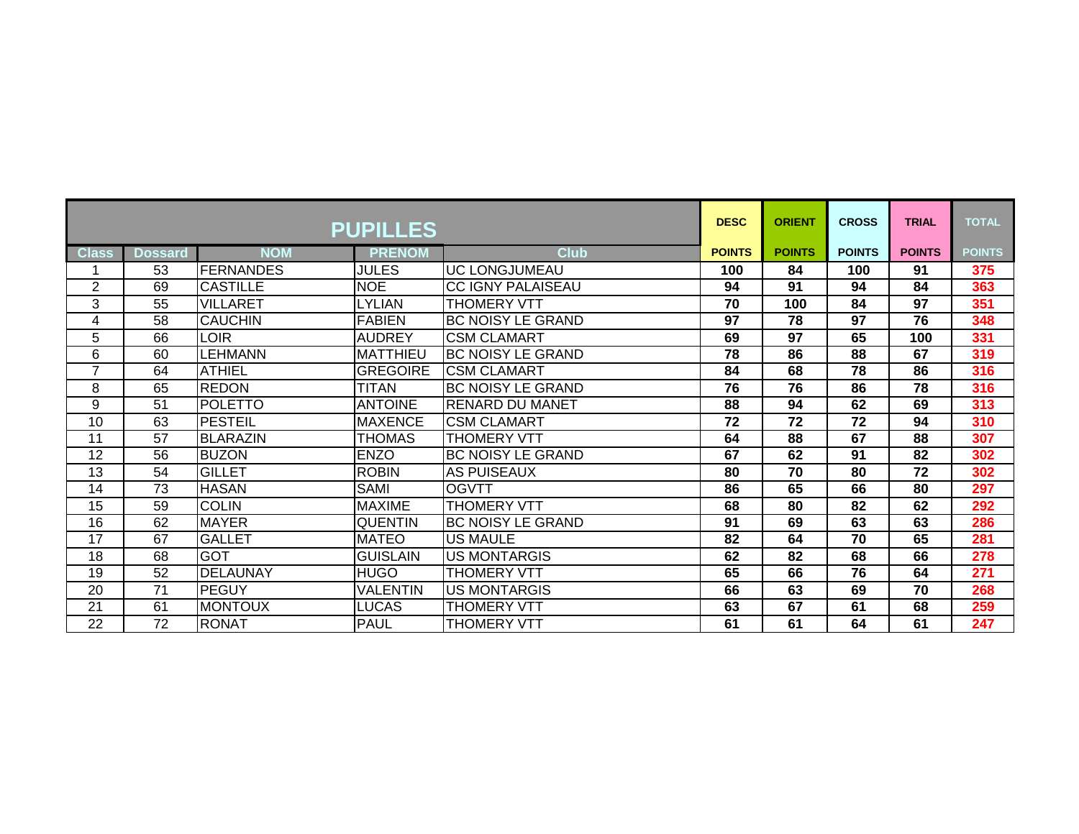| <b>PUPILLES</b> |                |                  |                 |                          | <b>DESC</b>   | <b>ORIENT</b>   | <b>CROSS</b>  | <b>TRIAL</b>    | <b>TOTAL</b>  |
|-----------------|----------------|------------------|-----------------|--------------------------|---------------|-----------------|---------------|-----------------|---------------|
| <b>Class</b>    | <b>Dossard</b> | <b>NOM</b>       | <b>PRENOM</b>   | <b>Club</b>              | <b>POINTS</b> | <b>POINTS</b>   | <b>POINTS</b> | <b>POINTS</b>   | <b>POINTS</b> |
|                 | 53             | <b>FERNANDES</b> | <b>JULES</b>    | <b>UC LONGJUMEAU</b>     | 100           | 84              | 100           | 91              | 375           |
| $\overline{2}$  | 69             | <b>CASTILLE</b>  | <b>NOE</b>      | <b>CC IGNY PALAISEAU</b> | 94            | $\overline{91}$ | 94            | 84              | 363           |
| 3               | 55             | <b>VILLARET</b>  | <b>LYLIAN</b>   | <b>THOMERY VTT</b>       | 70            | 100             | 84            | $\overline{97}$ | 351           |
| 4               | 58             | <b>CAUCHIN</b>   | <b>FABIEN</b>   | <b>BC NOISY LE GRAND</b> | 97            | 78              | 97            | 76              | 348           |
| 5               | 66             | <b>LOIR</b>      | <b>AUDREY</b>   | <b>CSM CLAMART</b>       | 69            | $\overline{97}$ | 65            | 100             | 331           |
| 6               | 60             | <b>LEHMANN</b>   | <b>MATTHIEU</b> | <b>BC NOISY LE GRAND</b> | 78            | 86              | 88            | 67              | 319           |
| $\overline{7}$  | 64             | <b>ATHIEL</b>    | <b>GREGOIRE</b> | <b>CSM CLAMART</b>       | 84            | 68              | 78            | 86              | 316           |
| 8               | 65             | <b>REDON</b>     | <b>TITAN</b>    | <b>BC NOISY LE GRAND</b> | 76            | 76              | 86            | 78              | 316           |
| 9               | 51             | <b>POLETTO</b>   | <b>ANTOINE</b>  | RENARD DU MANET          | 88            | 94              | 62            | 69              | 313           |
| 10              | 63             | <b>PESTEIL</b>   | <b>MAXENCE</b>  | <b>CSM CLAMART</b>       | 72            | 72              | 72            | 94              | 310           |
| 11              | 57             | <b>BLARAZIN</b>  | <b>THOMAS</b>   | <b>THOMERY VTT</b>       | 64            | 88              | 67            | 88              | 307           |
| 12              | 56             | <b>BUZON</b>     | <b>ENZO</b>     | <b>BC NOISY LE GRAND</b> | 67            | 62              | 91            | 82              | 302           |
| 13              | 54             | <b>GILLET</b>    | <b>ROBIN</b>    | <b>AS PUISEAUX</b>       | 80            | 70              | 80            | 72              | 302           |
| 14              | 73             | <b>HASAN</b>     | SAMI            | <b>OGVTT</b>             | 86            | 65              | 66            | 80              | 297           |
| 15              | 59             | <b>COLIN</b>     | <b>MAXIME</b>   | <b>THOMERY VTT</b>       | 68            | 80              | 82            | 62              | 292           |
| 16              | 62             | <b>MAYER</b>     | <b>QUENTIN</b>  | <b>BC NOISY LE GRAND</b> | 91            | 69              | 63            | 63              | 286           |
| 17              | 67             | <b>GALLET</b>    | <b>MATEO</b>    | US MAULE                 | 82            | 64              | 70            | 65              | 281           |
| 18              | 68             | <b>GOT</b>       | <b>GUISLAIN</b> | <b>US MONTARGIS</b>      | 62            | 82              | 68            | 66              | 278           |
| 19              | 52             | <b>DELAUNAY</b>  | <b>HUGO</b>     | <b>THOMERY VTT</b>       | 65            | 66              | 76            | 64              | 271           |
| 20              | 71             | <b>PEGUY</b>     | <b>VALENTIN</b> | <b>US MONTARGIS</b>      | 66            | 63              | 69            | 70              | 268           |
| 21              | 61             | <b>MONTOUX</b>   | <b>LUCAS</b>    | <b>THOMERY VTT</b>       | 63            | 67              | 61            | 68              | 259           |
| 22              | 72             | <b>RONAT</b>     | <b>PAUL</b>     | <b>THOMERY VTT</b>       | 61            | 61              | 64            | 61              | 247           |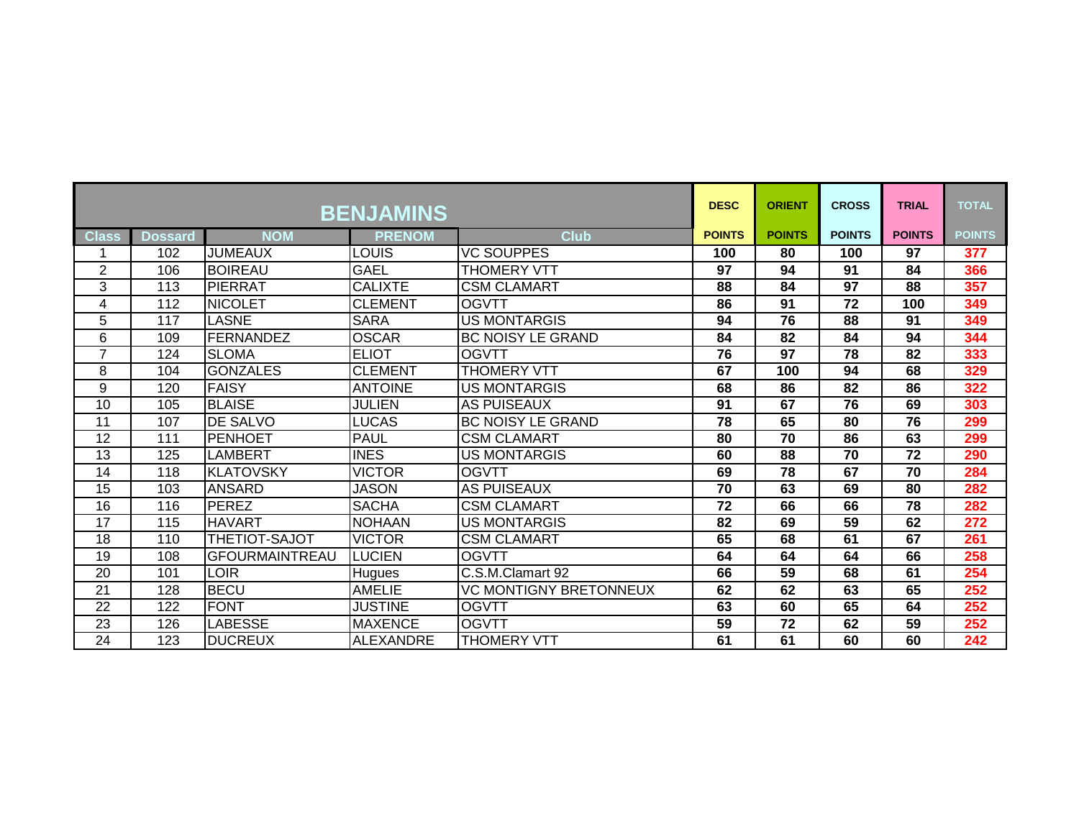| <b>BENJAMINS</b> |                |                       |                  |                               |               | <b>ORIENT</b> | <b>CROSS</b>  | <b>TRIAL</b>  | <b>TOTAL</b>  |
|------------------|----------------|-----------------------|------------------|-------------------------------|---------------|---------------|---------------|---------------|---------------|
| <b>Class</b>     | <b>Dossard</b> | <b>NOM</b>            | <b>PRENOM</b>    | <b>Club</b>                   | <b>POINTS</b> | <b>POINTS</b> | <b>POINTS</b> | <b>POINTS</b> | <b>POINTS</b> |
|                  | 102            | <b>JUMEAUX</b>        | LOUIS            | <b>VC SOUPPES</b>             | 100           | 80            | 100           | 97            | 377           |
| $\overline{2}$   | 106            | <b>BOIREAU</b>        | <b>GAEL</b>      | <b>THOMERY VTT</b>            | 97            | 94            | 91            | 84            | 366           |
| 3                | 113            | <b>PIERRAT</b>        | <b>CALIXTE</b>   | <b>CSM CLAMART</b>            | 88            | 84            | 97            | 88            | 357           |
| 4                | 112            | <b>INICOLET</b>       | <b>CLEMENT</b>   | <b>OGVTT</b>                  | 86            | 91            | 72            | 100           | 349           |
| 5                | 117            | <b>LASNE</b>          | <b>SARA</b>      | <b>US MONTARGIS</b>           | 94            | 76            | 88            | 91            | 349           |
| 6                | 109            | <b>FERNANDEZ</b>      | <b>OSCAR</b>     | <b>BC NOISY LE GRAND</b>      | 84            | 82            | 84            | 94            | 344           |
| 7                | 124            | <b>SLOMA</b>          | <b>ELIOT</b>     | <b>OGVTT</b>                  | 76            | 97            | 78            | 82            | 333           |
| 8                | 104            | <b>GONZALES</b>       | <b>CLEMENT</b>   | <b>THOMERY VTT</b>            | 67            | 100           | 94            | 68            | 329           |
| 9                | 120            | <b>FAISY</b>          | <b>ANTOINE</b>   | <b>US MONTARGIS</b>           | 68            | 86            | 82            | 86            | 322           |
| 10               | 105            | <b>BLAISE</b>         | <b>JULIEN</b>    | <b>AS PUISEAUX</b>            | 91            | 67            | 76            | 69            | 303           |
| 11               | 107            | <b>DE SALVO</b>       | <b>LUCAS</b>     | <b>BC NOISY LE GRAND</b>      | 78            | 65            | 80            | 76            | 299           |
| 12               | 111            | PENHOET               | <b>PAUL</b>      | <b>CSM CLAMART</b>            | 80            | 70            | 86            | 63            | 299           |
| 13               | 125            | LAMBERT               | <b>INES</b>      | <b>US MONTARGIS</b>           | 60            | 88            | 70            | 72            | 290           |
| 14               | 118            | <b>KLATOVSKY</b>      | <b>VICTOR</b>    | <b>OGVTT</b>                  | 69            | 78            | 67            | 70            | 284           |
| 15               | 103            | <b>ANSARD</b>         | <b>JASON</b>     | <b>AS PUISEAUX</b>            | 70            | 63            | 69            | 80            | 282           |
| 16               | 116            | <b>PEREZ</b>          | <b>SACHA</b>     | <b>CSM CLAMART</b>            | 72            | 66            | 66            | 78            | 282           |
| 17               | 115            | <b>HAVART</b>         | <b>NOHAAN</b>    | <b>US MONTARGIS</b>           | 82            | 69            | 59            | 62            | 272           |
| 18               | 110            | THETIOT-SAJOT         | <b>VICTOR</b>    | <b>CSM CLAMART</b>            | 65            | 68            | 61            | 67            | 261           |
| 19               | 108            | <b>GFOURMAINTREAU</b> | <b>LUCIEN</b>    | <b>OGVTT</b>                  | 64            | 64            | 64            | 66            | 258           |
| 20               | 101            | LOIR                  | Hugues           | C.S.M.Clamart 92              | 66            | 59            | 68            | 61            | 254           |
| 21               | 128            | <b>BECU</b>           | <b>AMELIE</b>    | <b>VC MONTIGNY BRETONNEUX</b> | 62            | 62            | 63            | 65            | 252           |
| 22               | 122            | <b>FONT</b>           | <b>JUSTINE</b>   | <b>OGVTT</b>                  | 63            | 60            | 65            | 64            | 252           |
| 23               | 126            | <b>LABESSE</b>        | <b>MAXENCE</b>   | <b>OGVTT</b>                  | 59            | 72            | 62            | 59            | 252           |
| 24               | 123            | <b>DUCREUX</b>        | <b>ALEXANDRE</b> | <b>THOMERY VTT</b>            | 61            | 61            | 60            | 60            | 242           |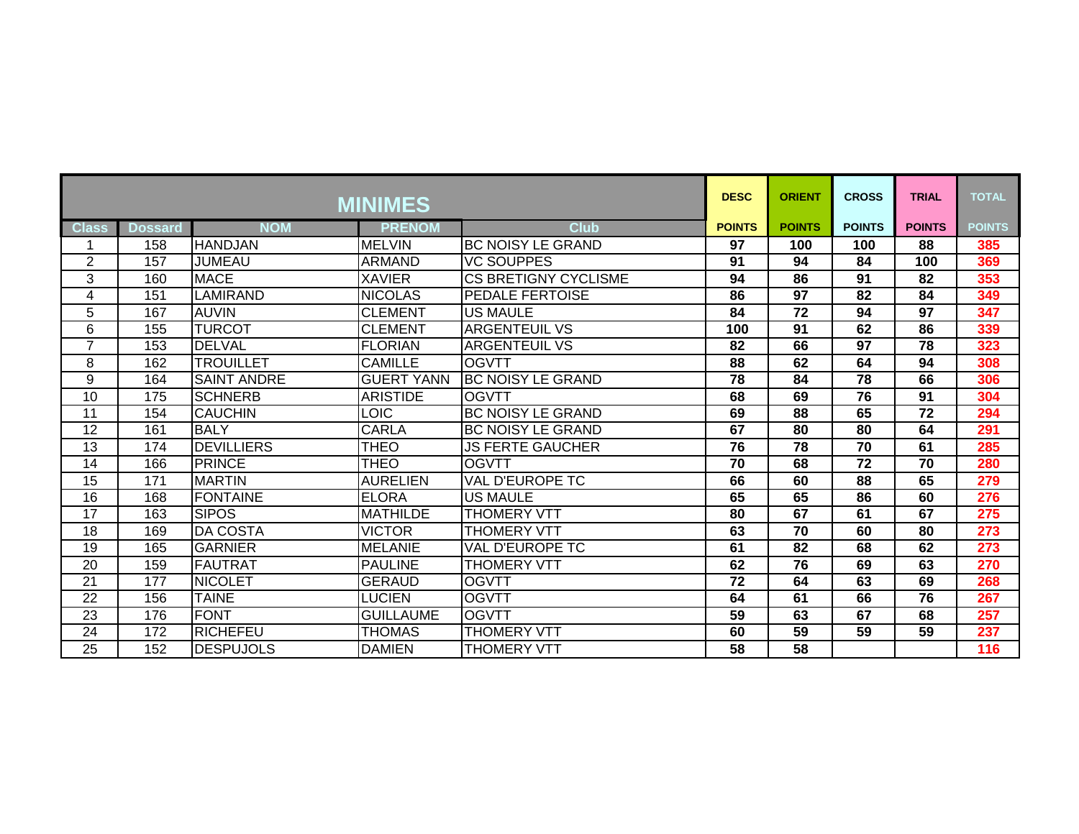| <b>MINIMES</b>  |                  |                    |                   |                             | <b>DESC</b>   | <b>ORIENT</b>   | <b>CROSS</b>    | <b>TRIAL</b>    | <b>TOTAL</b>     |
|-----------------|------------------|--------------------|-------------------|-----------------------------|---------------|-----------------|-----------------|-----------------|------------------|
| <b>Class</b>    | <b>Dossard</b>   | <b>NOM</b>         | <b>PRENOM</b>     | <b>Club</b>                 | <b>POINTS</b> | <b>POINTS</b>   | <b>POINTS</b>   | <b>POINTS</b>   | <b>POINTS</b>    |
|                 | 158              | <b>HANDJAN</b>     | <b>MELVIN</b>     | <b>BC NOISY LE GRAND</b>    | 97            | 100             | 100             | 88              | 385              |
| $\overline{2}$  | 157              | <b>JUMEAU</b>      | <b>ARMAND</b>     | <b>VC SOUPPES</b>           | 91            | 94              | 84              | 100             | 369              |
| 3               | 160              | <b>MACE</b>        | <b>XAVIER</b>     | <b>CS BRETIGNY CYCLISME</b> | 94            | 86              | 91              | 82              | 353              |
| 4               | 151              | <b>LAMIRAND</b>    | <b>NICOLAS</b>    | PEDALE FERTOISE             | 86            | $\overline{97}$ | 82              | 84              | 349              |
| 5               | 167              | <b>AUVIN</b>       | <b>CLEMENT</b>    | <b>US MAULE</b>             | 84            | 72              | 94              | 97              | 347              |
| 6               | 155              | <b>TURCOT</b>      | <b>CLEMENT</b>    | <b>ARGENTEUIL VS</b>        | 100           | 91              | 62              | 86              | 339              |
| $\overline{7}$  | 153              | <b>DELVAL</b>      | <b>FLORIAN</b>    | <b>ARGENTEUIL VS</b>        | 82            | 66              | 97              | 78              | 323              |
| 8               | 162              | <b>TROUILLET</b>   | <b>CAMILLE</b>    | <b>OGVTT</b>                | 88            | 62              | 64              | 94              | 308              |
| 9               | 164              | <b>SAINT ANDRE</b> | <b>GUERT YANN</b> | <b>BC NOISY LE GRAND</b>    | 78            | 84              | $\overline{78}$ | 66              | 306              |
| 10              | 175              | <b>SCHNERB</b>     | <b>ARISTIDE</b>   | <b>OGVTT</b>                | 68            | 69              | 76              | 91              | 304              |
| 11              | 154              | <b>CAUCHIN</b>     | <b>LOIC</b>       | <b>BC NOISY LE GRAND</b>    | 69            | 88              | 65              | 72              | 294              |
| 12              | 161              | <b>BALY</b>        | <b>CARLA</b>      | <b>BC NOISY LE GRAND</b>    | 67            | 80              | 80              | 64              | 291              |
| 13              | 174              | <b>IDEVILLIERS</b> | <b>THEO</b>       | JS FERTE GAUCHER            | 76            | 78              | 70              | 61              | 285              |
| 14              | 166              | PRINCE             | <b>THEO</b>       | <b>OGVTT</b>                | 70            | 68              | $\overline{72}$ | $\overline{70}$ | 280              |
| 15              | 171              | <b>MARTIN</b>      | <b>AURELIEN</b>   | <b>VAL D'EUROPE TC</b>      | 66            | 60              | 88              | 65              | 279              |
| 16              | 168              | <b>IFONTAINE</b>   | <b>ELORA</b>      | <b>US MAULE</b>             | 65            | 65              | 86              | 60              | 276              |
| 17              | 163              | <b>SIPOS</b>       | <b>MATHILDE</b>   | <b>THOMERY VTT</b>          | 80            | 67              | 61              | 67              | 275              |
| 18              | 169              | <b>DA COSTA</b>    | <b>VICTOR</b>     | <b>THOMERY VTT</b>          | 63            | $\overline{70}$ | 60              | $\overline{80}$ | $\overline{273}$ |
| $\overline{19}$ | 165              | <b>GARNIER</b>     | <b>MELANIE</b>    | <b>VAL D'EUROPE TC</b>      | 61            | $\overline{82}$ | 68              | 62              | $\overline{273}$ |
| 20              | 159              | <b>FAUTRAT</b>     | <b>PAULINE</b>    | <b>THOMERY VTT</b>          | 62            | 76              | 69              | 63              | 270              |
| $\overline{21}$ | $\overline{177}$ | <b>NICOLET</b>     | <b>GERAUD</b>     | <b>OGVTT</b>                | 72            | 64              | 63              | 69              | 268              |
| $\overline{22}$ | 156              | <b>TAINE</b>       | <b>LUCIEN</b>     | <b>OGVTT</b>                | 64            | 61              | 66              | 76              | 267              |
| 23              | 176              | <b>FONT</b>        | <b>GUILLAUME</b>  | <b>OGVTT</b>                | 59            | 63              | 67              | 68              | 257              |
| $\overline{24}$ | $\overline{172}$ | <b>RICHEFEU</b>    | <b>THOMAS</b>     | <b>THOMERY VTT</b>          | 60            | 59              | 59              | 59              | 237              |
| 25              | 152              | <b>DESPUJOLS</b>   | <b>DAMIEN</b>     | <b>THOMERY VTT</b>          | 58            | 58              |                 |                 | 116              |